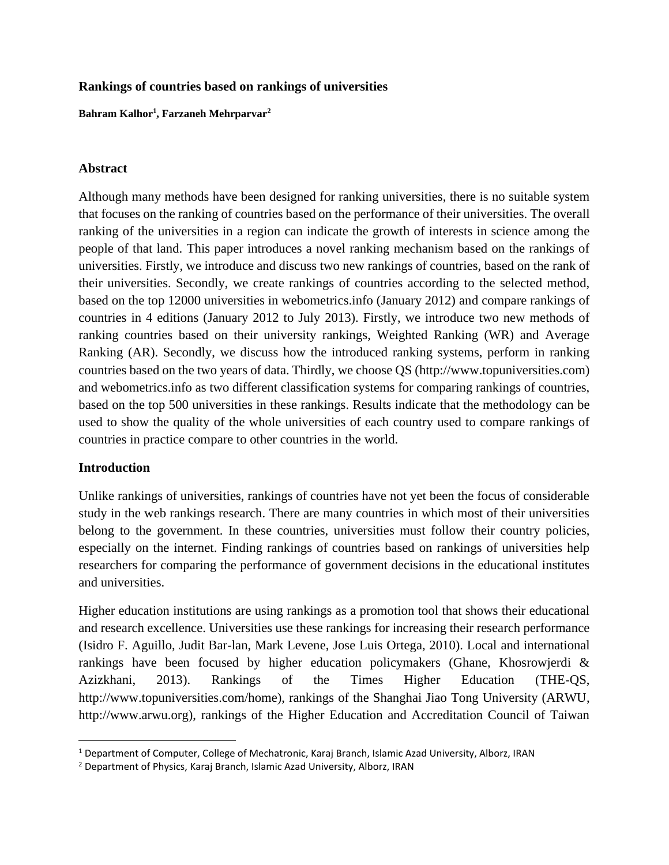## **Rankings of countries based on rankings of universities**

**Bahram Kalhor<sup>1</sup> , Farzaneh Mehrparvar<sup>2</sup>**

## **Abstract**

Although many methods have been designed for ranking universities, there is no suitable system that focuses on the ranking of countries based on the performance of their universities. The overall ranking of the universities in a region can indicate the growth of interests in science among the people of that land. This paper introduces a novel ranking mechanism based on the rankings of universities. Firstly, we introduce and discuss two new rankings of countries, based on the rank of their universities. Secondly, we create rankings of countries according to the selected method, based on the top 12000 universities in webometrics.info (January 2012) and compare rankings of countries in 4 editions (January 2012 to July 2013). Firstly, we introduce two new methods of ranking countries based on their university rankings, Weighted Ranking (WR) and Average Ranking (AR). Secondly, we discuss how the introduced ranking systems, perform in ranking countries based on the two years of data. Thirdly, we choose QS (http://www.topuniversities.com) and webometrics.info as two different classification systems for comparing rankings of countries, based on the top 500 universities in these rankings. Results indicate that the methodology can be used to show the quality of the whole universities of each country used to compare rankings of countries in practice compare to other countries in the world.

# **Introduction**

Unlike rankings of universities, rankings of countries have not yet been the focus of considerable study in the web rankings research. There are many countries in which most of their universities belong to the government. In these countries, universities must follow their country policies, especially on the internet. Finding rankings of countries based on rankings of universities help researchers for comparing the performance of government decisions in the educational institutes and universities.

Higher education institutions are using rankings as a promotion tool that shows their educational and research excellence. Universities use these rankings for increasing their research performance (Isidro F. Aguillo, Judit Bar-lan, Mark Levene, Jose Luis Ortega, 2010). Local and international rankings have been focused by higher education policymakers (Ghane, Khosrowjerdi & Azizkhani, 2013). Rankings of the Times Higher Education (THE-QS, http://www.topuniversities.com/home), rankings of the Shanghai Jiao Tong University (ARWU, http://www.arwu.org), rankings of the Higher Education and Accreditation Council of Taiwan

<sup>1</sup> Department of Computer, College of Mechatronic, Karaj Branch, Islamic Azad University, Alborz, IRAN

<sup>2</sup> Department of Physics, Karaj Branch, Islamic Azad University, Alborz, IRAN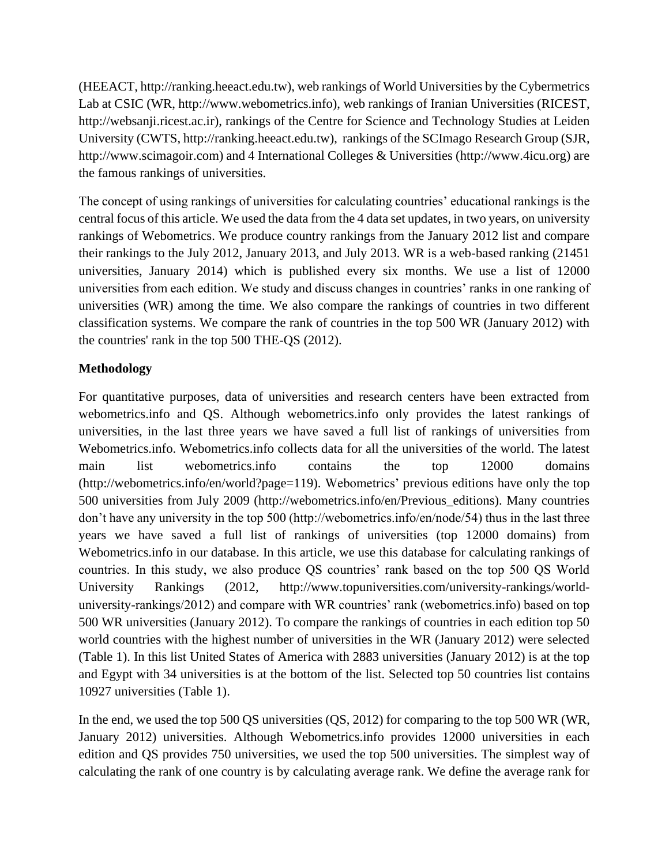(HEEACT, http://ranking.heeact.edu.tw), web rankings of World Universities by the Cybermetrics Lab at CSIC (WR, http://www.webometrics.info), web rankings of Iranian Universities (RICEST, http://websanji.ricest.ac.ir), rankings of the Centre for Science and Technology Studies at Leiden University (CWTS, http://ranking.heeact.edu.tw), rankings of the SCImago Research Group (SJR, http://www.scimagoir.com) and 4 International Colleges & Universities (http://www.4icu.org) are the famous rankings of universities.

The concept of using rankings of universities for calculating countries' educational rankings is the central focus of this article. We used the data from the 4 data set updates, in two years, on university rankings of Webometrics. We produce country rankings from the January 2012 list and compare their rankings to the July 2012, January 2013, and July 2013. WR is a web-based ranking (21451 universities, January 2014) which is published every six months. We use a list of 12000 universities from each edition. We study and discuss changes in countries' ranks in one ranking of universities (WR) among the time. We also compare the rankings of countries in two different classification systems. We compare the rank of countries in the top 500 WR (January 2012) with the countries' rank in the top 500 THE-QS (2012).

# **Methodology**

For quantitative purposes, data of universities and research centers have been extracted from webometrics.info and QS. Although webometrics.info only provides the latest rankings of universities, in the last three years we have saved a full list of rankings of universities from Webometrics.info. Webometrics.info collects data for all the universities of the world. The latest main list webometrics.info contains the top 12000 domains (http://webometrics.info/en/world?page=119). Webometrics' previous editions have only the top 500 universities from July 2009 (http://webometrics.info/en/Previous\_editions). Many countries don't have any university in the top 500 (http://webometrics.info/en/node/54) thus in the last three years we have saved a full list of rankings of universities (top 12000 domains) from Webometrics.info in our database. In this article, we use this database for calculating rankings of countries. In this study, we also produce QS countries' rank based on the top 500 QS World University Rankings (2012, http://www.topuniversities.com/university-rankings/worlduniversity-rankings/2012) and compare with WR countries' rank (webometrics.info) based on top 500 WR universities (January 2012). To compare the rankings of countries in each edition top 50 world countries with the highest number of universities in the WR (January 2012) were selected (Table 1). In this list United States of America with 2883 universities (January 2012) is at the top and Egypt with 34 universities is at the bottom of the list. Selected top 50 countries list contains 10927 universities (Table 1).

In the end, we used the top 500 QS universities (QS, 2012) for comparing to the top 500 WR (WR, January 2012) universities. Although Webometrics.info provides 12000 universities in each edition and QS provides 750 universities, we used the top 500 universities. The simplest way of calculating the rank of one country is by calculating average rank. We define the average rank for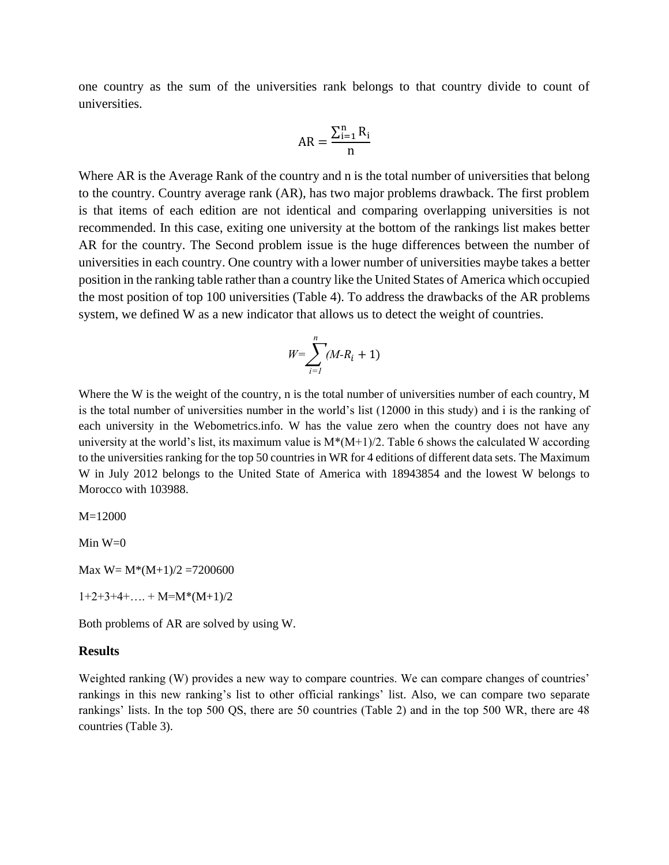one country as the sum of the universities rank belongs to that country divide to count of universities.

$$
AR = \frac{\sum_{i=1}^{n} R_i}{n}
$$

Where AR is the Average Rank of the country and n is the total number of universities that belong to the country. Country average rank (AR), has two major problems drawback. The first problem is that items of each edition are not identical and comparing overlapping universities is not recommended. In this case, exiting one university at the bottom of the rankings list makes better AR for the country. The Second problem issue is the huge differences between the number of universities in each country. One country with a lower number of universities maybe takes a better position in the ranking table rather than a country like the United States of America which occupied the most position of top 100 universities (Table 4). To address the drawbacks of the AR problems system, we defined W as a new indicator that allows us to detect the weight of countries.

$$
W = \sum_{i=1}^{n} (M - R_i + 1)
$$

Where the W is the weight of the country, n is the total number of universities number of each country, M is the total number of universities number in the world's list (12000 in this study) and i is the ranking of each university in the Webometrics.info. W has the value zero when the country does not have any university at the world's list, its maximum value is  $M^*(M+1)/2$ . Table 6 shows the calculated W according to the universities ranking for the top 50 countries in WR for 4 editions of different data sets. The Maximum W in July 2012 belongs to the United State of America with 18943854 and the lowest W belongs to Morocco with 103988.

 $M=12000$ 

Min  $W=0$ 

Max  $W = M*(M+1)/2 = 7200600$ 

 $1+2+3+4+... + M=M*(M+1)/2$ 

Both problems of AR are solved by using W.

#### **Results**

Weighted ranking (W) provides a new way to compare countries. We can compare changes of countries' rankings in this new ranking's list to other official rankings' list. Also, we can compare two separate rankings' lists. In the top 500 QS, there are 50 countries (Table 2) and in the top 500 WR, there are 48 countries (Table 3).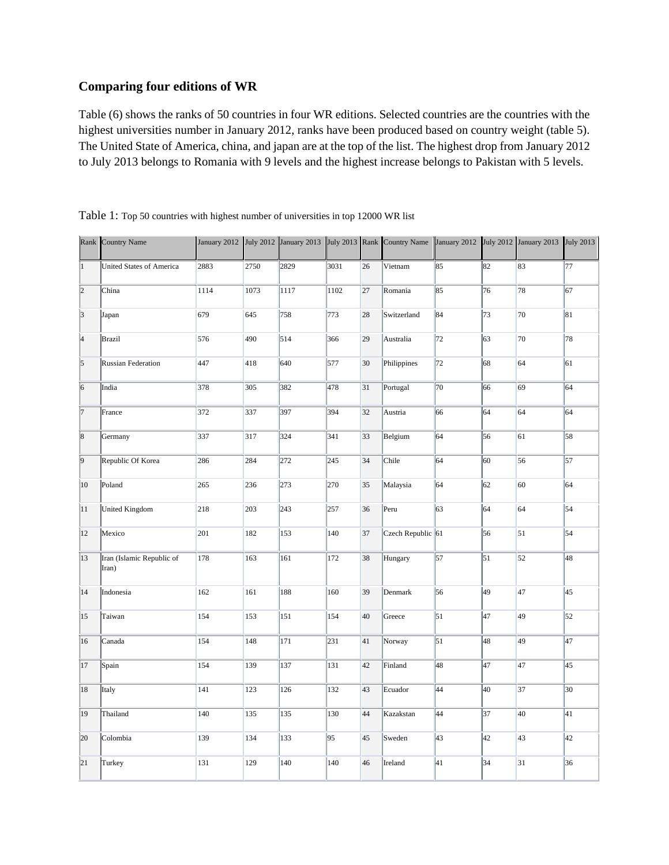## **Comparing four editions of WR**

Table (6) shows the ranks of 50 countries in four WR editions. Selected countries are the countries with the highest universities number in January 2012, ranks have been produced based on country weight (table 5). The United State of America, china, and japan are at the top of the list. The highest drop from January 2012 to July 2013 belongs to Romania with 9 levels and the highest increase belongs to Pakistan with 5 levels.

| Rank           | <b>Country Name</b>                |      |      |              |      |    | January 2012 July 2012 January 2013 July 2013 Rank Country Name |                 |    | January 2012 July 2012 January 2013 July 2013 |    |
|----------------|------------------------------------|------|------|--------------|------|----|-----------------------------------------------------------------|-----------------|----|-----------------------------------------------|----|
| $\vert$ 1      | United States of America           | 2883 | 2750 | 2829         | 3031 | 26 | Vietnam                                                         | 85              | 82 | 83                                            | 77 |
| $\overline{2}$ | China                              | 1114 | 1073 | 1117         | 1102 | 27 | Romania                                                         | 85              | 76 | 78                                            | 67 |
| $\vert$ 3      | Japan                              | 679  | 645  | 758          | 773  | 28 | Switzerland                                                     | 84              | 73 | 70                                            | 81 |
| $\vert$ 4      | <b>Brazil</b>                      | 576  | 490  | 514          | 366  | 29 | Australia                                                       | 72              | 63 | 70                                            | 78 |
| $\overline{5}$ | <b>Russian Federation</b>          | 447  | 418  | 640          | 577  | 30 | Philippines                                                     | 72              | 68 | 64                                            | 61 |
| 6              | India                              | 378  | 305  | 382          | 478  | 31 | Portugal                                                        | 70              | 66 | 69                                            | 64 |
| 7              | France                             | 372  | 337  | 397          | 394  | 32 | Austria                                                         | 66              | 64 | 64                                            | 64 |
| $\overline{8}$ | Germany                            | 337  | 317  | 324          | 341  | 33 | Belgium                                                         | 64              | 56 | 61                                            | 58 |
| $\vert$ 9      | Republic Of Korea                  | 286  | 284  | 272          | 245  | 34 | Chile                                                           | 64              | 60 | 56                                            | 57 |
| 10             | Poland                             | 265  | 236  | 273          | 270  | 35 | Malaysia                                                        | 64              | 62 | 60                                            | 64 |
| 11             | United Kingdom                     | 218  | 203  | $\sqrt{243}$ | 257  | 36 | Peru                                                            | 63              | 64 | 64                                            | 54 |
| 12             | Mexico                             | 201  | 182  | 153          | 140  | 37 | $C$ zech Republic 61                                            |                 | 56 | 51                                            | 54 |
| 13             | Iran (Islamic Republic of<br>Iran) | 178  | 163  | 161          | 172  | 38 | Hungary                                                         | 57              | 51 | 52                                            | 48 |
| 14             | Indonesia                          | 162  | 161  | 188          | 160  | 39 | Denmark                                                         | 56              | 49 | 47                                            | 45 |
| 15             | Taiwan                             | 154  | 153  | 151          | 154  | 40 | Greece                                                          | $\overline{51}$ | 47 | 49                                            | 52 |
| 16             | Canada                             | 154  | 148  | 171          | 231  | 41 | Norway                                                          | $\overline{51}$ | 48 | 49                                            | 47 |
| 17             | Spain                              | 154  | 139  | 137          | 131  | 42 | Finland                                                         | 48              | 47 | $\overline{47}$                               | 45 |
| 18             | Italy                              | 141  | 123  | 126          | 132  | 43 | Ecuador                                                         | 44              | 40 | 37                                            | 30 |
| 19             | Thailand                           | 140  | 135  | 135          | 130  | 44 | Kazakstan                                                       | 44              | 37 | 40                                            | 41 |
| 20             | Colombia                           | 139  | 134  | 133          | 95   | 45 | Sweden                                                          | 43              | 42 | 43                                            | 42 |
| 21             | Turkey                             | 131  | 129  | 140          | 140  | 46 | Ireland                                                         | 41              | 34 | 31                                            | 36 |

Table 1: Top 50 countries with highest number of universities in top 12000 WR list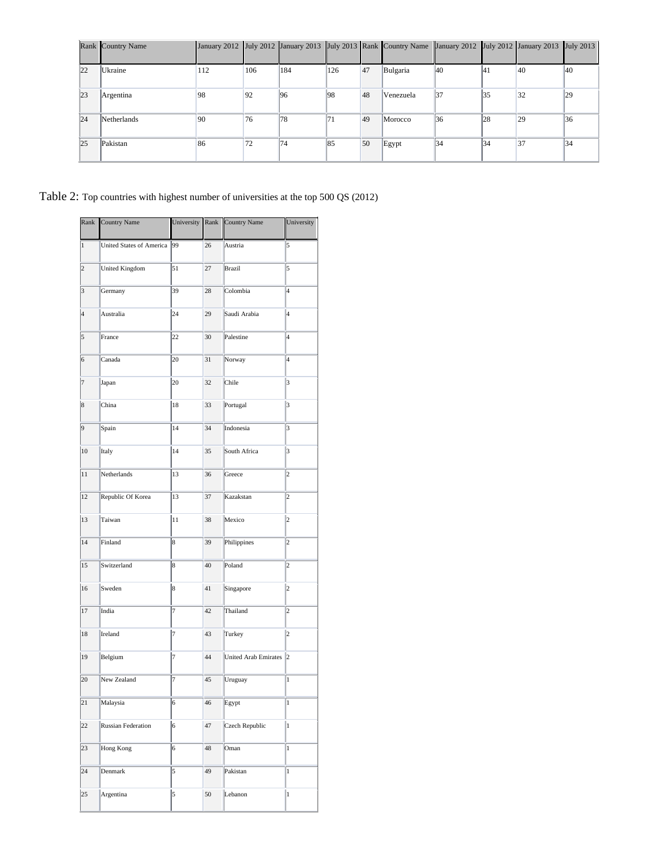|    | Rank Country Name |              |     |     |     |    | January 2012 July 2012 January 2013 July 2013 Rank Country Name January 2012 July 2012 January 2013 July 2013 |               |     |                |               |
|----|-------------------|--------------|-----|-----|-----|----|---------------------------------------------------------------------------------------------------------------|---------------|-----|----------------|---------------|
| 22 | Ukraine           | 112          | 106 | 184 | 126 | 47 | Bulgaria                                                                                                      | <sup>40</sup> | 141 | 40             | <sup>40</sup> |
| 23 | Argentina         | 98           | 92  | 96  | 98  | 48 | Venezuela                                                                                                     | 37            | 35  | 32             | 29            |
| 24 | Netherlands       | $ 90\rangle$ | 76  | 78  | 171 | 49 | Morocco                                                                                                       | 36            | 28  | 29             | 36            |
| 25 | Pakistan          | 86           | 172 | 74  | 85  | 50 | Egypt                                                                                                         | 34            | 34  | $\parallel$ 37 | 34            |

Table 2: Top countries with highest number of universities at the top 500 QS (2012)

| Rank            | Country Name                    | University     |    | Rank Country Name           | University              |
|-----------------|---------------------------------|----------------|----|-----------------------------|-------------------------|
| $\,1$           | <b>United States of America</b> | 99             | 26 | Austria                     | 5                       |
| $\overline{c}$  | United Kingdom                  | 51             | 27 | <b>Brazil</b>               | 5                       |
| 3               | Germany                         | 39             | 28 | Colombia                    | $\overline{4}$          |
| $\overline{4}$  | Australia                       | 24             | 29 | Saudi Arabia                | 4                       |
| 5               | France                          | 22             | 30 | Palestine                   | 4                       |
| 6               | Canada                          | 20             | 31 | Norway                      | $\overline{4}$          |
| 7               | Japan                           | 20             | 32 | Chile                       | 3                       |
| $\overline{8}$  | China                           | 18             | 33 | Portugal                    | 3                       |
| 9               | Spain                           | 14             | 34 | Indonesia                   | 3                       |
| 10              | Italy                           | 14             | 35 | South Africa                | 3                       |
| 11              | Netherlands                     | 13             | 36 | Greece                      | $\overline{2}$          |
| 12              | Republic Of Korea               | 13             | 37 | Kazakstan                   | $\overline{2}$          |
| 13              | Taiwan                          | 11             | 38 | Mexico                      | $\overline{c}$          |
| 14              | Finland                         | 8              | 39 | Philippines                 | $\overline{\mathbf{c}}$ |
| 15              | Switzerland                     | 8              | 40 | Poland                      | $\overline{\mathbf{c}}$ |
| 16              | Sweden                          | 8              | 41 | Singapore                   | $\overline{c}$          |
| 17              | India                           | 7              | 42 | Thailand                    | $\overline{2}$          |
| 18              | Ireland                         | 7              | 43 | Turkey                      | $\overline{2}$          |
| 19              | Belgium                         | 7              | 44 | <b>United Arab Emirates</b> | $\overline{2}$          |
| 20              | New Zealand                     | 7              | 45 | Uruguay                     | $\mathbf{1}$            |
| $\overline{21}$ | Malaysia                        | $\overline{6}$ | 46 | Egypt                       | $\vert$ 1               |
| 22              | <b>Russian Federation</b>       | 6              | 47 | Czech Republic              | 1                       |
| 23              | Hong Kong                       | 6              | 48 | Oman                        | $\mathbf{1}$            |
| 24              | Denmark                         | 5              | 49 | Pakistan                    | $\mathbf{1}$            |
| 25              | Argentina                       | 5              | 50 | Lebanon                     | $\mathbf{1}$            |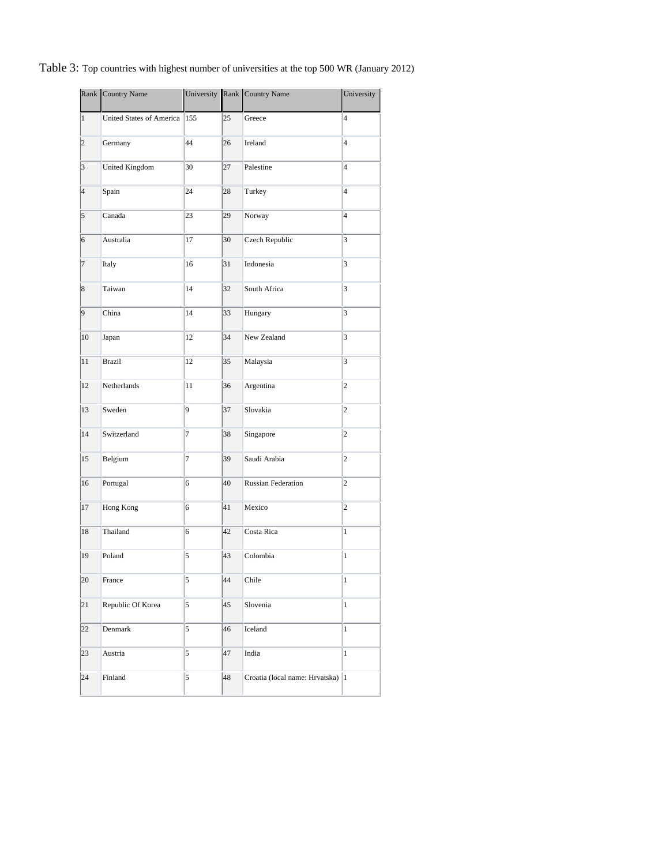## Table 3: Top countries with highest number of universities at the top 500 WR (January 2012)

|                | Rank Country Name        |     |    | University Rank Country Name      | University              |
|----------------|--------------------------|-----|----|-----------------------------------|-------------------------|
| $\mathbf{1}$   | United States of America | 155 | 25 | Greece                            | 4                       |
| $\overline{c}$ | Germany                  | 44  | 26 | Ireland                           | 4                       |
| 3              | <b>United Kingdom</b>    | 30  | 27 | Palestine                         | 4                       |
| 4              | Spain                    | 24  | 28 | Turkey                            | l4                      |
| 5              | Canada                   | 23  | 29 | Norway                            | 4                       |
| 6              | Australia                | 17  | 30 | Czech Republic                    | 3                       |
| 7              | Italy                    | 16  | 31 | Indonesia                         | 3                       |
| 8              | Taiwan                   | 14  | 32 | South Africa                      | $\overline{\mathbf{3}}$ |
| 9              | China                    | 14  | 33 | Hungary                           | 3                       |
| 10             | Japan                    | 12  | 34 | New Zealand                       | $\overline{\mathbf{3}}$ |
| 11             | <b>Brazil</b>            | 12  | 35 | Malaysia                          | 3                       |
| 12             | Netherlands              | 11  | 36 | Argentina                         | 2                       |
| 13             | Sweden                   | 9   | 37 | Slovakia                          | $\overline{2}$          |
| 14             | Switzerland              | 7   | 38 | Singapore                         | 2                       |
| 15             | Belgium                  | 7   | 39 | Saudi Arabia                      | 2                       |
| 16             | Portugal                 | 6   | 40 | Russian Federation                | $\vert$ 2               |
| 17             | Hong Kong                | 6   | 41 | Mexico                            | 2                       |
| 18             | Thailand                 | 6   | 42 | Costa Rica                        | $\mathbf{1}$            |
| 19             | Poland                   | 5   | 43 | Colombia                          | $\mathbf{1}$            |
| 20             | France                   | 5   | 44 | Chile                             | $\vert$ 1               |
| 21             | Republic Of Korea        | 5   | 45 | Slovenia                          | 1                       |
| 22             | Denmark                  | 5   | 46 | Iceland                           | 1                       |
| 23             | Austria                  | 5   | 47 | India                             | 1                       |
| 24             | Finland                  | 5   | 48 | Croatia (local name: Hrvatska)  1 |                         |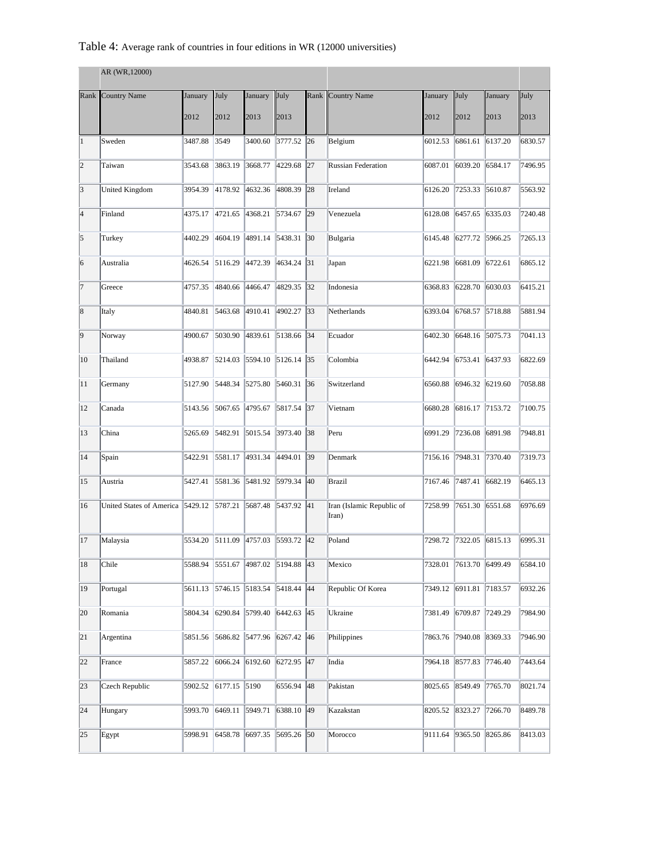## Table 4: Average rank of countries in four editions in WR (12000 universities)

| AR (WR, 12000) |                                 |         |              |                 |            |              |                                    |         |         |         |         |  |
|----------------|---------------------------------|---------|--------------|-----------------|------------|--------------|------------------------------------|---------|---------|---------|---------|--|
|                | Rank Country Name               | January | July         | January         | July       |              | Rank Country Name                  | January | July    | January | July    |  |
|                |                                 | 2012    | 2012         | 2013            | 2013       |              |                                    | 2012    | 2012    | 2013    | 2013    |  |
| $\vert$ 1      | Sweden                          | 3487.88 | 3549         | 3400.60         | 3777.52 26 |              | Belgium                            | 6012.53 | 6861.61 | 6137.20 | 6830.57 |  |
| $\overline{2}$ | Taiwan                          | 3543.68 | 3863.19      | 3668.77         | 4229.68    | 27           | <b>Russian Federation</b>          | 6087.01 | 6039.20 | 6584.17 | 7496.95 |  |
| $\vert$ 3      | <b>United Kingdom</b>           | 3954.39 | 4178.92      | 4632.36         | 4808.39    | 28           | Ireland                            | 6126.20 | 7253.33 | 5610.87 | 5563.92 |  |
| $\vert$ 4      | Finland                         | 4375.17 | 4721.65      | 4368.21         | 5734.67    | 29           | Venezuela                          | 6128.08 | 6457.65 | 6335.03 | 7240.48 |  |
| 5              | Turkey                          | 4402.29 | 4604.19      | 4891.14         | 5438.31    | $ 30\rangle$ | Bulgaria                           | 6145.48 | 6277.72 | 5966.25 | 7265.13 |  |
| 6              | Australia                       | 4626.54 | 5116.29      | 4472.39         | 4634.24    | 31           | Japan                              | 6221.98 | 6681.09 | 6722.61 | 6865.12 |  |
| 17             | Greece                          | 4757.35 | 4840.66      | 4466.47         | 4829.35    | 32           | Indonesia                          | 6368.83 | 6228.70 | 6030.03 | 6415.21 |  |
| $\vert 8$      | Italy                           | 4840.81 | 5463.68      | 4910.41         | 4902.27 33 |              | Netherlands                        | 6393.04 | 6768.57 | 5718.88 | 5881.94 |  |
| $\vert$ 9      | Norway                          | 4900.67 | 5030.90      | 4839.61         | 5138.66    | 34           | Ecuador                            | 6402.30 | 6648.16 | 5075.73 | 7041.13 |  |
| 10             | Thailand                        | 4938.87 | 5214.03      | 5594.10         | 5126.14    | 35           | Colombia                           | 6442.94 | 6753.41 | 6437.93 | 6822.69 |  |
| 11             | Germany                         | 5127.90 | 5448.34      | 5275.80         | 5460.31    | 36           | Switzerland                        | 6560.88 | 6946.32 | 6219.60 | 7058.88 |  |
| 12             | Canada                          | 5143.56 | 5067.65      | 4795.67         | 5817.54    | 37           | Vietnam                            | 6680.28 | 6816.17 | 7153.72 | 7100.75 |  |
| 13             | China                           | 5265.69 | 5482.91      | 5015.54         | 3973.40    | 38           | Peru                               | 6991.29 | 7236.08 | 6891.98 | 7948.81 |  |
| 14             | Spain                           | 5422.91 | 5581.17      | 4931.34         | 4494.01    | 39           | Denmark                            | 7156.16 | 7948.31 | 7370.40 | 7319.73 |  |
| 15             | Austria                         | 5427.41 | 5581.36      | 5481.92         | 5979.34    | 40           | Brazil                             | 7167.46 | 7487.41 | 6682.19 | 6465.13 |  |
| 16             | <b>United States of America</b> | 5429.12 | 5787.21      | 5687.48         | 5437.92    | 41           | Iran (Islamic Republic of<br>Iran) | 7258.99 | 7651.30 | 6551.68 | 6976.69 |  |
| 17             | Malaysia                        | 5534.20 | 5111.09      | 4757.03         | 5593.72    | 42           | Poland                             | 7298.72 | 7322.05 | 6815.13 | 6995.31 |  |
| 18             | Chile                           | 5588.94 | 5551.67      | 4987.02         | 5194.88 43 |              | Mexico                             | 7328.01 | 7613.70 | 6499.49 | 6584.10 |  |
| 19             | Portugal                        | 5611.13 | 5746.15      | 5183.54         | 5418.44 44 |              | Republic Of Korea                  | 7349.12 | 6911.81 | 7183.57 | 6932.26 |  |
| 20             | Romania                         | 5804.34 | 6290.84      | 5799.40         | 6442.63 45 |              | Ukraine                            | 7381.49 | 6709.87 | 7249.29 | 7984.90 |  |
| 21             | Argentina                       | 5851.56 |              | 5686.82 5477.96 | 6267.42 46 |              | Philippines                        | 7863.76 | 7940.08 | 8369.33 | 7946.90 |  |
| 22             | France                          | 5857.22 | 6066.24      | 6192.60         | 6272.95 47 |              | India                              | 7964.18 | 8577.83 | 7746.40 | 7443.64 |  |
| 23             | Czech Republic                  | 5902.52 | 6177.15 5190 |                 | 6556.94 48 |              | Pakistan                           | 8025.65 | 8549.49 | 7765.70 | 8021.74 |  |
| 24             | Hungary                         | 5993.70 | 6469.11      | 5949.71         | 6388.10 49 |              | Kazakstan                          | 8205.52 | 8323.27 | 7266.70 | 8489.78 |  |
| 25             | Egypt                           | 5998.91 | 6458.78      | 6697.35         | 5695.26 50 |              | Morocco                            | 9111.64 | 9365.50 | 8265.86 | 8413.03 |  |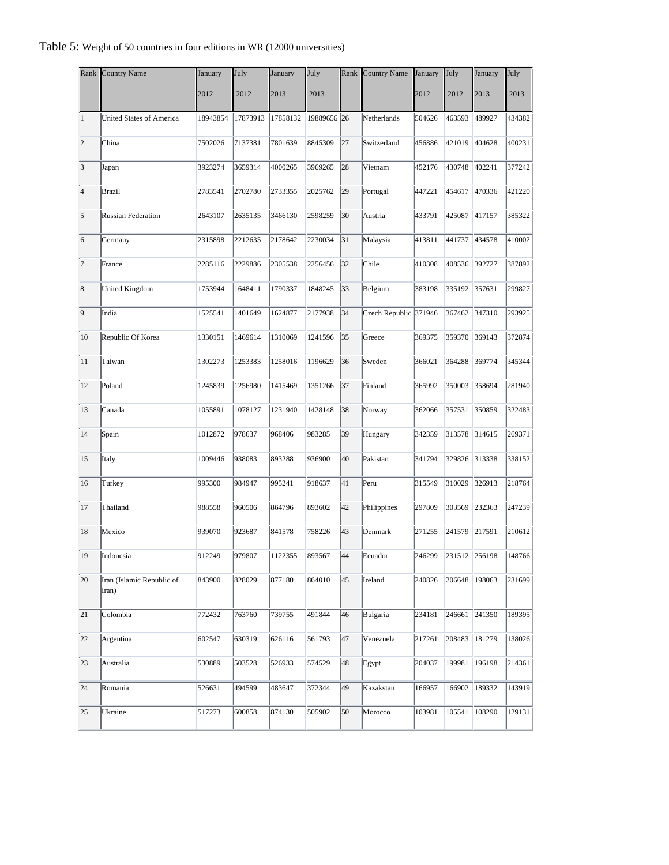| Rank            | <b>Country Name</b>                | January  | July     | January          | July        | Rank | <b>Country Name</b>   | January | July   | January              | July   |
|-----------------|------------------------------------|----------|----------|------------------|-------------|------|-----------------------|---------|--------|----------------------|--------|
|                 |                                    | 2012     | 2012     | 2013             | 2013        |      |                       | 2012    | 2012   | 2013                 | 2013   |
| $\vert$ 1       | <b>United States of America</b>    | 18943854 | 17873913 | 17858132         | 19889656 26 |      | Netherlands           | 504626  | 463593 | 489927               | 434382 |
| $ 2\rangle$     | China                              | 7502026  | 7137381  | 7801639          | 8845309     | 27   | Switzerland           | 456886  | 421019 | 404628               | 400231 |
| 3               | Japan                              | 3923274  | 3659314  | 4000265          | 3969265     | 28   | Vietnam               | 452176  | 430748 | 402241               | 377242 |
| $\vert 4$       | <b>Brazil</b>                      | 2783541  | 2702780  | 2733355          | 2025762     | 29   | Portugal              | 447221  | 454617 | 470336               | 421220 |
| 5               | <b>Russian Federation</b>          | 2643107  | 2635135  | 3466130          | 2598259     | 30   | Austria               | 433791  | 425087 | 417157               | 385322 |
| $\vert 6 \vert$ | Germany                            | 2315898  | 2212635  | 2178642          | 2230034     | 31   | Malaysia              | 413811  | 441737 | 434578               | 410002 |
| 7               | France                             | 2285116  | 2229886  | 2305538          | 2256456     | 32   | Chile                 | 410308  | 408536 | 392727               | 387892 |
| $\vert$ 8       | United Kingdom                     | 1753944  | 1648411  | 1790337          | 1848245     | 33   | Belgium               | 383198  | 335192 | 357631               | 299827 |
| $\vert$ 9       | India                              | 1525541  | 1401649  | 1624877          | 2177938     | 34   | Czech Republic 371946 |         | 367462 | 347310               | 293925 |
| 10              | Republic Of Korea                  | 1330151  | 1469614  | 1310069          | 1241596     | 35   | Greece                | 369375  | 359370 | 369143               | 372874 |
| 11              | Taiwan                             | 1302273  | 1253383  | 1258016          | 1196629     | 36   | Sweden                | 366021  | 364288 | 369774               | 345344 |
| 12              | Poland                             | 1245839  | 1256980  | 1415469          | 1351266     | 37   | Finland               | 365992  | 350003 | 358694               | 281940 |
| 13              | Canada                             | 1055891  | 1078127  | 1231940          | 1428148     | 38   | Norway                | 362066  | 357531 | 350859               | 322483 |
| 14              | Spain                              | 1012872  | 978637   | 968406           | 983285      | 39   | Hungary               | 342359  | 313578 | 314615               | 269371 |
| 15              | Italy                              | 1009446  | 938083   | 893288           | 936900      | 40   | Pakistan              | 341794  | 329826 | 313338               | 338152 |
| 16              | Turkey                             | 995300   | 984947   | 995241           | 918637      | 41   | Peru                  | 315549  | 310029 | 326913               | 218764 |
| 17              | Thailand                           | 988558   | 960506   | 864796           | 893602      | 42   | Philippines           | 297809  | 303569 | 232363               | 247239 |
| 18              | Mexico                             | 939070   | 923687   | 841578           | 758226      | 43   | Denmark               | 271255  | 241579 | 217591               | 210612 |
|                 | 19 Indonesia                       | 912249   | 979807   | $\sqrt{1122355}$ | 893567      |      | 44 Ecuador            |         |        | 246299 231512 256198 | 148766 |
| 20              | Iran (Islamic Republic of<br>Iran) | 843900   | 828029   | 877180           | 864010      | 45   | Ireland               | 240826  | 206648 | 198063               | 231699 |
| 21              | Colombia                           | 772432   | 763760   | 739755           | 491844      | 46   | Bulgaria              | 234181  | 246661 | 241350               | 189395 |
| 22              | Argentina                          | 602547   | 630319   | 626116           | 561793      | 47   | Venezuela             | 217261  | 208483 | 181279               | 138026 |
| 23              | Australia                          | 530889   | 503528   | 526933           | 574529      | 48   | Egypt                 | 204037  | 199981 | 196198               | 214361 |
| 24              | Romania                            | 526631   | 494599   | 483647           | 372344      | 49   | Kazakstan             | 166957  | 166902 | 189332               | 143919 |
| 25              | Ukraine                            | 517273   | 600858   | 874130           | 505902      | 50   | Morocco               | 103981  | 105541 | 108290               | 129131 |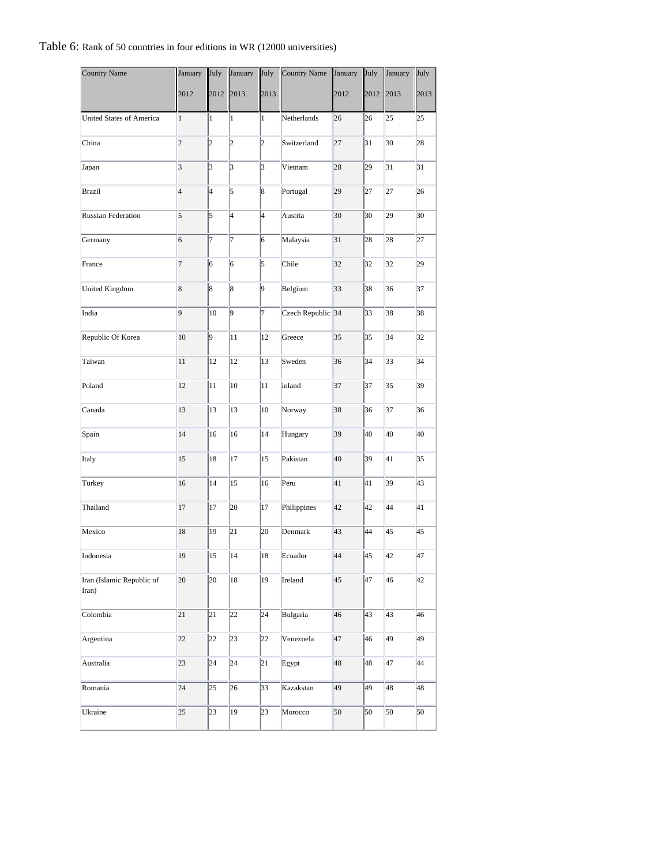#### Table 6: Rank of 50 countries in four editions in WR (12000 universities)

| <b>Country Name</b>                | January                  | July                    | January                 | July            | Country Name      | January | July            | January         | July |
|------------------------------------|--------------------------|-------------------------|-------------------------|-----------------|-------------------|---------|-----------------|-----------------|------|
|                                    | 2012                     | 2012                    | 2013                    | 2013            |                   | 2012    | 2012            | 2013            | 2013 |
| United States of America           | 1                        | 1                       | 1                       | 1               | Netherlands       | 26      | 26              | 25              | 25   |
| China                              | $\overline{2}$           | $\vert$ 2               | $\overline{c}$          | $\overline{2}$  | Switzerland       | 27      | 31              | 30              | 28   |
| Japan                              | 3                        | $\overline{\mathbf{3}}$ | $\overline{\mathbf{3}}$ | 3               | Vietnam           | 28      | 29              | 31              | 31   |
| Brazil                             | $\overline{\mathcal{A}}$ | $\overline{\mathbf{4}}$ | 5                       | 8               | Portugal          | 29      | 27              | 27              | 26   |
| <b>Russian Federation</b>          | 5                        | 5                       | $\overline{\mathbf{4}}$ | 4               | Austria           | 30      | 30              | 29              | 30   |
| Germany                            | 6                        | 7                       | 7                       | 6               | Malaysia          | 31      | 28              | 28              | 27   |
| France                             | 7                        | 6                       | 6                       | 5               | Chile             | 32      | 32              | 32              | 29   |
| United Kingdom                     | 8                        | 8                       | 8                       | 9               | Belgium           | 33      | 38              | 36              | 37   |
| India                              | 9                        | 10                      | 9                       | 17              | Czech Republic 34 |         | 33              | 38              | 38   |
| Republic Of Korea                  | 10                       | 9                       | 11                      | 12              | Greece            | 35      | 35              | 34              | 32   |
| Taiwan                             | 11                       | 12                      | 12                      | 13              | Sweden            | 36      | 34              | 33              | 34   |
| Poland                             | 12                       | 11                      | 10                      | 11              | inland            | 37      | 37              | 35              | 39   |
| Canada                             | 13                       | 13                      | 13                      | 10              | Norway            | 38      | 36              | 37              | 36   |
| Spain                              | 14                       | 16                      | 16                      | 14              | Hungary           | 39      | 40              | 40              | 40   |
| Italy                              | 15                       | 18                      | 17                      | 15              | Pakistan          | 40      | 39              | 41              | 35   |
| Turkey                             | 16                       | 14                      | 15                      | 16              | Peru              | 41      | 41              | 39              | 43   |
| Thailand                           | 17                       | 17                      | 20                      | 17              | Philippines       | 42      | 42              | 44              | 41   |
| Mexico                             | 18                       | 19                      | 21                      | 20              | Denmark           | 43      | 44              | 45              | 45   |
| Indonesia                          | 19                       | $\sqrt{15}$             | $\sqrt{14}$             | $\overline{18}$ | Ecuador           | 44      | $\overline{45}$ | $\overline{42}$ | 47   |
| Iran (Islamic Republic of<br>Iran) | 20                       | 20                      | 18                      | 19              | Ireland           | 45      | 47              | 46              | 42   |
| Colombia                           | 21                       | 21                      | 22                      | 24              | Bulgaria          | 46      | 43              | 43              | 46   |
| Argentina                          | 22                       | 22                      | 23                      | 22              | Venezuela         | 47      | 46              | 49              | 49   |
| Australia                          | 23                       | 24                      | 24                      | 21              | Egypt             | 48      | 48              | 47              | 44   |
| Romania                            | 24                       | 25                      | 26                      | 33              | Kazakstan         | 49      | 49              | 48              | 48   |
| Ukraine                            | 25                       | 23                      | 19                      | 23              | Morocco           | 50      | 50              | 50              | 50   |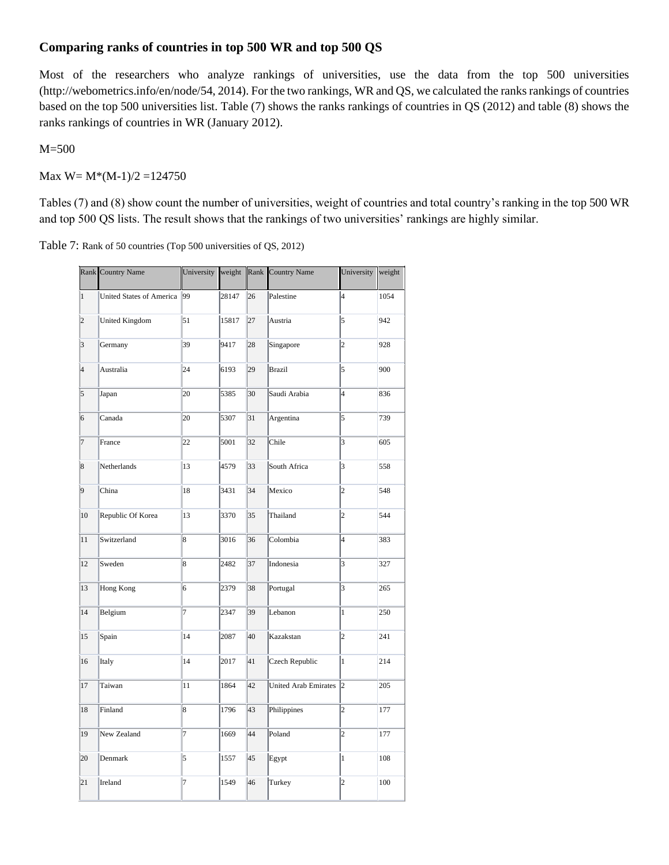## **Comparing ranks of countries in top 500 WR and top 500 QS**

Most of the researchers who analyze rankings of universities, use the data from the top 500 universities (http://webometrics.info/en/node/54, 2014). For the two rankings, WR and QS, we calculated the ranks rankings of countries based on the top 500 universities list. Table (7) shows the ranks rankings of countries in QS (2012) and table (8) shows the ranks rankings of countries in WR (January 2012).

M=500

Max  $W = M*(M-1)/2 = 124750$ 

Tables (7) and (8) show count the number of universities, weight of countries and total country's ranking in the top 500 WR and top 500 QS lists. The result shows that the rankings of two universities' rankings are highly similar.

| Table 7: Rank of 50 countries (Top 500 universities of QS, 2012) |  |  |  |
|------------------------------------------------------------------|--|--|--|
|------------------------------------------------------------------|--|--|--|

|                 | Rank Country Name               | University |       |    | weight Rank Country Name    | University              | weight |
|-----------------|---------------------------------|------------|-------|----|-----------------------------|-------------------------|--------|
| $\vert$ 1       | <b>United States of America</b> | 99         | 28147 | 26 | Palestine                   | 4                       | 1054   |
| $\overline{2}$  | <b>United Kingdom</b>           | 51         | 15817 | 27 | Austria                     | 5                       | 942    |
| $\vert$ 3       | Germany                         | 39         | 9417  | 28 | Singapore                   | $\overline{c}$          | 928    |
| 4               | Australia                       | 24         | 6193  | 29 | <b>Brazil</b>               | 5                       | 900    |
| 5               | Japan                           | 20         | 5385  | 30 | Saudi Arabia                | $\overline{4}$          | 836    |
| 6               | Canada                          | 20         | 5307  | 31 | Argentina                   | 5                       | 739    |
| 7               | France                          | 22         | 5001  | 32 | Chile                       | $\overline{\mathbf{3}}$ | 605    |
| $\vert 8$       | Netherlands                     | 13         | 4579  | 33 | South Africa                | $\overline{\mathbf{3}}$ | 558    |
| $\vert 9 \vert$ | China                           | 18         | 3431  | 34 | Mexico                      | 2                       | 548    |
| $10\,$          | Republic Of Korea               | 13         | 3370  | 35 | Thailand                    | $\overline{2}$          | 544    |
| 11              | Switzerland                     | 8          | 3016  | 36 | Colombia                    | $\overline{4}$          | 383    |
| 12              | Sweden                          | 8          | 2482  | 37 | Indonesia                   | $\overline{\mathbf{3}}$ | 327    |
| 13              | Hong Kong                       | 6          | 2379  | 38 | Portugal                    | $\overline{\mathbf{3}}$ | 265    |
| 14              | Belgium                         | 7          | 2347  | 39 | Lebanon                     | $\mathbf{1}$            | 250    |
| 15              | Spain                           | 14         | 2087  | 40 | Kazakstan                   | 2                       | 241    |
| 16              | Italy                           | 14         | 2017  | 41 | Czech Republic              | $\mathbf{1}$            | 214    |
| 17              | Taiwan                          | 11         | 1864  | 42 | <b>United Arab Emirates</b> | l2                      | 205    |
| 18              | Finland                         | 8          | 1796  | 43 | Philippines                 | $\overline{2}$          | 177    |
| 19              | New Zealand                     | 7          | 1669  | 44 | Poland                      | $\overline{2}$          | 177    |
| 20              | Denmark                         | 5          | 1557  | 45 | Egypt                       | $\mathbf{1}$            | 108    |
| 21              | Ireland                         | 7          | 1549  | 46 | Turkey                      | 2                       | 100    |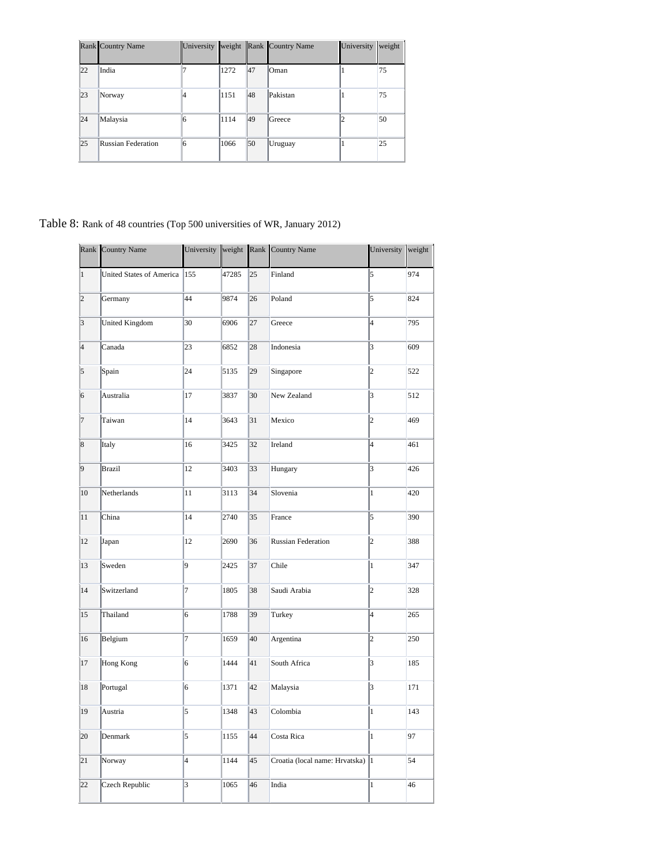|                 | Rank Country Name  | University | weight |    | Rank Country Name | University | weight |
|-----------------|--------------------|------------|--------|----|-------------------|------------|--------|
| 22              | India              |            | 1272   | 47 | <b>Oman</b>       |            | 75     |
| $ 23\rangle$    | Norway             | 14         | 1151   | 48 | Pakistan          |            | 75     |
| 24              | Malaysia           |            | 1114   | 49 | Greece            |            | 50     |
| $\overline{25}$ | Russian Federation |            | 1066   | 50 | Uruguay           |            | 25     |

Table 8: Rank of 48 countries (Top 500 universities of WR, January 2012)

|                         | Rank Country Name               |                          |       |    | University weight Rank Country Name | University              | weight |
|-------------------------|---------------------------------|--------------------------|-------|----|-------------------------------------|-------------------------|--------|
| $\overline{1}$          | <b>United States of America</b> | 155                      | 47285 | 25 | Finland                             | 5                       | 974    |
| $\overline{2}$          | Germany                         | 44                       | 9874  | 26 | Poland                              | 5                       | 824    |
| $\overline{\mathbf{3}}$ | <b>United Kingdom</b>           | 30                       | 6906  | 27 | Greece                              | $\overline{4}$          | 795    |
| $\overline{4}$          | Canada                          | 23                       | 6852  | 28 | Indonesia                           | 3                       | 609    |
| $\overline{5}$          | Spain                           | 24                       | 5135  | 29 | Singapore                           | $\overline{c}$          | 522    |
| $\overline{6}$          | Australia                       | 17                       | 3837  | 30 | New Zealand                         | 3                       | 512    |
| $\overline{7}$          | Taiwan                          | 14                       | 3643  | 31 | Mexico                              | $\overline{2}$          | 469    |
| $\vert 8$               | Italy                           | 16                       | 3425  | 32 | Ireland                             | 4                       | 461    |
| $\overline{9}$          | <b>Brazil</b>                   | 12                       | 3403  | 33 | Hungary                             | 3                       | 426    |
| 10                      | Netherlands                     | 11                       | 3113  | 34 | Slovenia                            | $\mathbf{1}$            | 420    |
| 11                      | China                           | 14                       | 2740  | 35 | France                              | 5                       | 390    |
| 12                      | Japan                           | 12                       | 2690  | 36 | Russian Federation                  | $\overline{c}$          | 388    |
| 13                      | Sweden                          | 9                        | 2425  | 37 | Chile                               | $\mathbf{1}$            | 347    |
| 14                      | Switzerland                     | 7                        | 1805  | 38 | Saudi Arabia                        | $\overline{c}$          | 328    |
| 15                      | Thailand                        | 6                        | 1788  | 39 | Turkey                              | 4                       | 265    |
| 16                      | Belgium                         | 7                        | 1659  | 40 | Argentina                           | $\overline{2}$          | 250    |
| 17                      | Hong Kong                       | 6                        | 1444  | 41 | South Africa                        | $\overline{\mathbf{3}}$ | 185    |
| 18                      | Portugal                        | 6                        | 1371  | 42 | Malaysia                            | 3                       | 171    |
| 19                      | Austria                         | 5                        | 1348  | 43 | Colombia                            | $\mathbf{1}$            | 143    |
| 20                      | Denmark                         | 5                        | 1155  | 44 | Costa Rica                          | $\mathbf{1}$            | 97     |
| 21                      | Norway                          | $\overline{\mathcal{L}}$ | 1144  | 45 | Croatia (local name: Hrvatska)  1   |                         | 54     |
| 22                      | Czech Republic                  | 3                        | 1065  | 46 | India                               | $\mathbf{1}$            | 46     |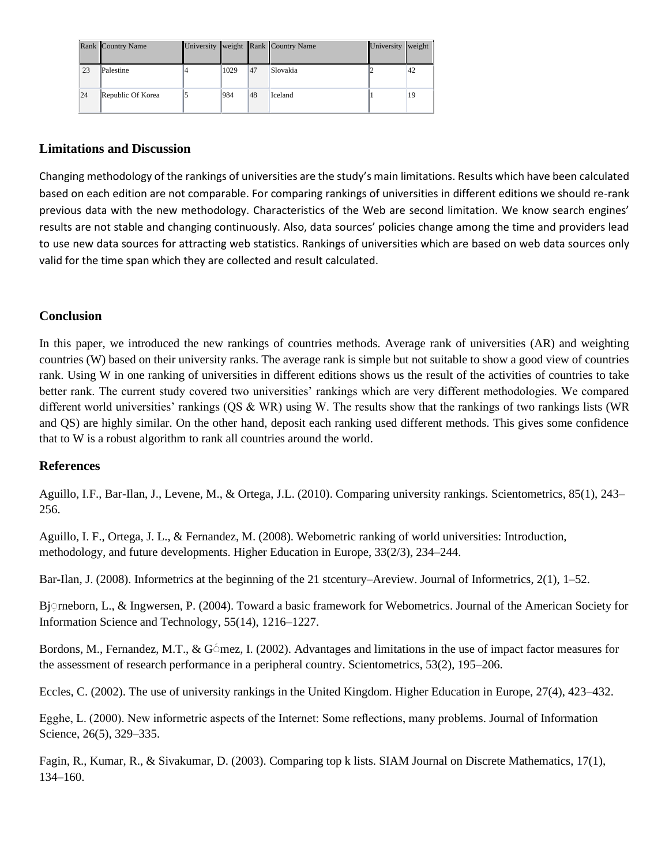|    | Rank Country Name |      |     | University weight Rank Country Name | University | weight |
|----|-------------------|------|-----|-------------------------------------|------------|--------|
| 23 | Palestine         | 1029 | 147 | <b>Slovakia</b>                     |            | 142    |
| 24 | Republic Of Korea | 984  | 48  | <b>Iceland</b>                      |            | 19     |

#### **Limitations and Discussion**

Changing methodology of the rankings of universities are the study's main limitations. Results which have been calculated based on each edition are not comparable. For comparing rankings of universities in different editions we should re-rank previous data with the new methodology. Characteristics of the Web are second limitation. We know search engines' results are not stable and changing continuously. Also, data sources' policies change among the time and providers lead to use new data sources for attracting web statistics. Rankings of universities which are based on web data sources only valid for the time span which they are collected and result calculated.

#### **Conclusion**

In this paper, we introduced the new rankings of countries methods. Average rank of universities (AR) and weighting countries (W) based on their university ranks. The average rank is simple but not suitable to show a good view of countries rank. Using W in one ranking of universities in different editions shows us the result of the activities of countries to take better rank. The current study covered two universities' rankings which are very different methodologies. We compared different world universities' rankings ( $\overline{QS}$  & WR) using W. The results show that the rankings of two rankings lists (WR) and QS) are highly similar. On the other hand, deposit each ranking used different methods. This gives some confidence that to W is a robust algorithm to rank all countries around the world.

#### **References**

Aguillo, I.F., Bar-Ilan, J., Levene, M., & Ortega, J.L. (2010). Comparing university rankings. Scientometrics, 85(1), 243– 256.

Aguillo, I. F., Ortega, J. L., & Fernandez, M. (2008). Webometric ranking of world universities: Introduction, methodology, and future developments. Higher Education in Europe, 33(2/3), 234–244.

Bar-Ilan, J. (2008). Informetrics at the beginning of the 21 stcentury–Areview. Journal of Informetrics, 2(1), 1–52.

Bj $\subseteq$ rneborn, L., & Ingwersen, P. (2004). Toward a basic framework for Webometrics. Journal of the American Society for Information Science and Technology, 55(14), 1216–1227.

Bordons, M., Fernandez, M.T., & G $\epsilon$ mez, I. (2002). Advantages and limitations in the use of impact factor measures for the assessment of research performance in a peripheral country. Scientometrics, 53(2), 195–206.

Eccles, C. (2002). The use of university rankings in the United Kingdom. Higher Education in Europe, 27(4), 423–432.

Egghe, L. (2000). New informetric aspects of the Internet: Some reflections, many problems. Journal of Information Science, 26(5), 329–335.

Fagin, R., Kumar, R., & Sivakumar, D. (2003). Comparing top k lists. SIAM Journal on Discrete Mathematics, 17(1), 134–160.